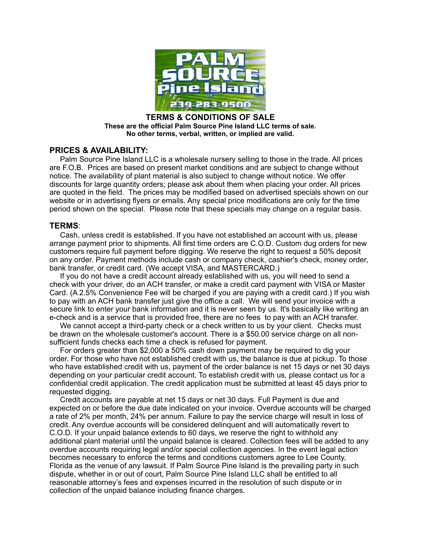

### **TERMS & CONDITIONS OF SALE These are the official Palm Source Pine Island LLC terms of sale. No other terms, verbal, written, or implied are valid.**

# **PRICES & AVAILABILITY:**

 Palm Source Pine Island LLC is a wholesale nursery selling to those in the trade. All prices are F.O.B. Prices are based on present market conditions and are subject to change without notice. The availability of plant material is also subject to change without notice. We offer discounts for large quantity orders; please ask about them when placing your order. All prices are quoted in the field. The prices may be modified based on advertised specials shown on our website or in advertising flyers or emails. Any special price modifications are only for the time period shown on the special. Please note that these specials may change on a regular basis.

# **TERMS**:

 Cash, unless credit is established. If you have not established an account with us, please arrange payment prior to shipments. All first time orders are C.O.D. Custom dug orders for new customers require full payment before digging. We reserve the right to request a 50% deposit on any order. Payment methods include cash or company check, cashier's check, money order, bank transfer, or credit card. (We accept VISA, and MASTERCARD.)

 If you do not have a credit account already established with us, you will need to send a check with your driver, do an ACH transfer, or make a credit card payment with VISA or Master Card. (A 2.5% Convenience Fee will be charged if you are paying with a credit card.) If you wish to pay with an ACH bank transfer just give the office a call. We will send your invoice with a secure link to enter your bank information and it is never seen by us. It's basically like writing an e-check and is a service that is provided free, there are no fees to pay with an ACH transfer.

We cannot accept a third-party check or a check written to us by your client. Checks must be drawn on the wholesale customer's account. There is a \$50.00 service charge on all nonsufficient funds checks each time a check is refused for payment.

 For orders greater than \$2,000 a 50% cash down payment may be required to dig your order. For those who have not established credit with us, the balance is due at pickup. To those who have established credit with us, payment of the order balance is net 15 days or net 30 days depending on your particular credit account. To establish credit with us, please contact us for a confidential credit application. The credit application must be submitted at least 45 days prior to requested digging.

 Credit accounts are payable at net 15 days or net 30 days. Full Payment is due and expected on or before the due date indicated on your invoice. Overdue accounts will be charged a rate of 2% per month, 24% per annum. Failure to pay the service charge will result in loss of credit. Any overdue accounts will be considered delinquent and will automatically revert to C.O.D. If your unpaid balance extends to 60 days, we reserve the right to withhold any additional plant material until the unpaid balance is cleared. Collection fees will be added to any overdue accounts requiring legal and/or special collection agencies. In the event legal action becomes necessary to enforce the terms and conditions customers agree to Lee County, Florida as the venue of any lawsuit. If Palm Source Pine Island is the prevailing party in such dispute, whether in or out of court, Palm Source Pine Island LLC shall be entitled to all reasonable attorney's fees and expenses incurred in the resolution of such dispute or in collection of the unpaid balance including finance charges.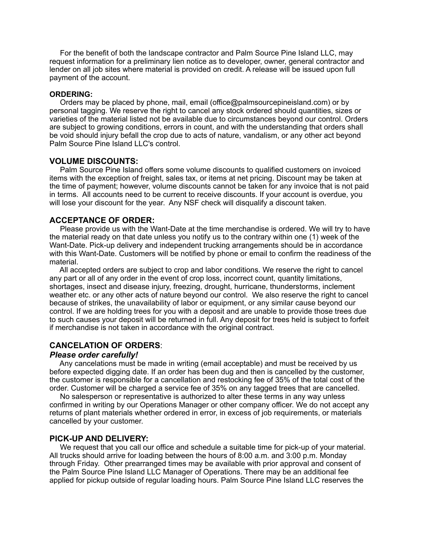For the benefit of both the landscape contractor and Palm Source Pine Island LLC, may request information for a preliminary lien notice as to developer, owner, general contractor and lender on all job sites where material is provided on credit. A release will be issued upon full payment of the account.

#### **ORDERING:**

 Orders may be placed by phone, mail, email (office@palmsourcepineisland.com) or by personal tagging. We reserve the right to cancel any stock ordered should quantities, sizes or varieties of the material listed not be available due to circumstances beyond our control. Orders are subject to growing conditions, errors in count, and with the understanding that orders shall be void should injury befall the crop due to acts of nature, vandalism, or any other act beyond Palm Source Pine Island LLC's control.

## **VOLUME DISCOUNTS:**

 Palm Source Pine Island offers some volume discounts to qualified customers on invoiced items with the exception of freight, sales tax, or items at net pricing. Discount may be taken at the time of payment; however, volume discounts cannot be taken for any invoice that is not paid in terms. All accounts need to be current to receive discounts. If your account is overdue, you will lose your discount for the year. Any NSF check will disqualify a discount taken.

# **ACCEPTANCE OF ORDER:**

 Please provide us with the Want-Date at the time merchandise is ordered. We will try to have the material ready on that date unless you notify us to the contrary within one (1) week of the Want-Date. Pick-up delivery and independent trucking arrangements should be in accordance with this Want-Date. Customers will be notified by phone or email to confirm the readiness of the material.

 All accepted orders are subject to crop and labor conditions. We reserve the right to cancel any part or all of any order in the event of crop loss, incorrect count, quantity limitations, shortages, insect and disease injury, freezing, drought, hurricane, thunderstorms, inclement weather etc. or any other acts of nature beyond our control. We also reserve the right to cancel because of strikes, the unavailability of labor or equipment, or any similar cause beyond our control. If we are holding trees for you with a deposit and are unable to provide those trees due to such causes your deposit will be returned in full. Any deposit for trees held is subject to forfeit if merchandise is not taken in accordance with the original contract.

# **CANCELATION OF ORDERS**:

## *Please order carefully!*

 Any cancelations must be made in writing (email acceptable) and must be received by us before expected digging date. If an order has been dug and then is cancelled by the customer, the customer is responsible for a cancellation and restocking fee of 35% of the total cost of the order. Customer will be charged a service fee of 35% on any tagged trees that are cancelled.

 No salesperson or representative is authorized to alter these terms in any way unless confirmed in writing by our Operations Manager or other company officer. We do not accept any returns of plant materials whether ordered in error, in excess of job requirements, or materials cancelled by your customer.

## **PICK-UP AND DELIVERY:**

 We request that you call our office and schedule a suitable time for pick-up of your material. All trucks should arrive for loading between the hours of 8:00 a.m. and 3:00 p.m. Monday through Friday. Other prearranged times may be available with prior approval and consent of the Palm Source Pine Island LLC Manager of Operations. There may be an additional fee applied for pickup outside of regular loading hours. Palm Source Pine Island LLC reserves the